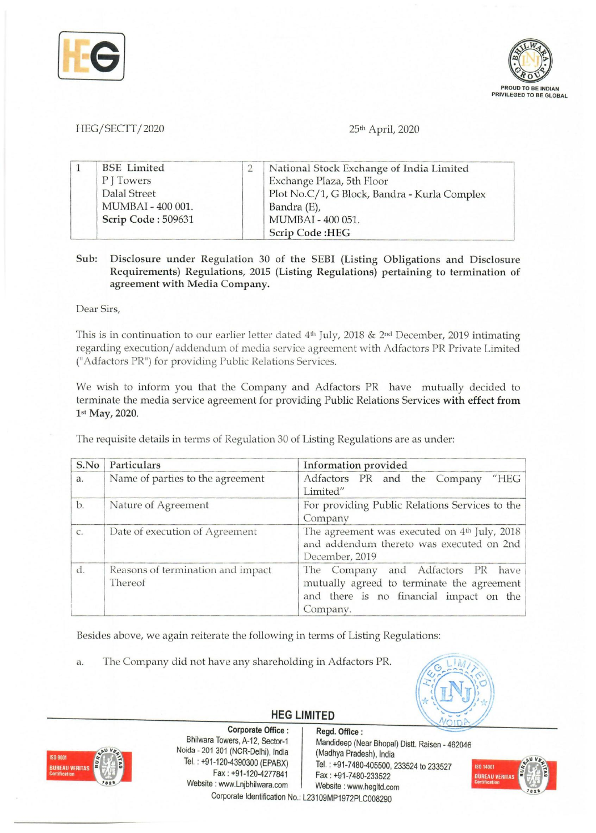



## HEG *I* SECTT *12020* 25th April, 2020

| <b>BSE</b> Limited | National Stock Exchange of India Limited     |
|--------------------|----------------------------------------------|
| PI Towers          | Exchange Plaza, 5th Floor                    |
| Dalal Street       | Plot No.C/1, G Block, Bandra - Kurla Complex |
| MUMBAI - 400 001.  | Bandra (E),                                  |
| Scrip Code: 509631 | MUMBAI - 400 051.                            |
|                    | <b>Scrip Code:HEG</b>                        |

## Sub: Disclosure under Regulation 30 of the SEBI (Listing Obligations and Disclosure Requirements) Regulations, 2015 (Listing Regulations) pertaining to termination of agreement with Media Company.

Dear Sirs,

This is in continuation to our earlier letter dated 4th July, 2018 & 2nd December, 2019 intimating regarding execution/ addendum of media service agreement with Adfactors PR Private Limited ("Adfactors PR") for providing Public Relations Services.

We wish to inform you that the Company and Adfactors PR have mutually decided to terminate the media service agreement for providing Public Relations Services with effect from 1st May, 2020.

The requisite details in terms of Regulation 30 of Listing Regulations are as under:

| S.No | Particulars                                  | Information provided                                                                                                                   |
|------|----------------------------------------------|----------------------------------------------------------------------------------------------------------------------------------------|
| a.   | Name of parties to the agreement             | Adfactors PR and the Company<br>"HEG<br>Limited"                                                                                       |
| b.   | Nature of Agreement                          | For providing Public Relations Services to the<br>Company                                                                              |
| C.   | Date of execution of Agreement               | The agreement was executed on 4 <sup>th</sup> July, 2018<br>and addendum thereto was executed on 2nd<br>December, 2019                 |
| d.   | Reasons of termination and impact<br>Thereof | The Company and Adfactors PR have<br>mutually agreed to terminate the agreement<br>and there is no financial impact on the<br>Company. |

Besides above, we again reiterate the following in terms of Listing Regulations:

a. The Company did not have any shareholding in Adfactors PR.



## **HEG LIMITED**



Corporate Office : Regd. Office :<br>Bhilwara Towers, A-12, Sector-1 Mandideep (Ne Noida - 201 301 (NCR-Delhi), India<br>Tel. : +91-120-4390300 (EPABX) Website: www.Lnjbhilwara.com Website: www.hegltd.com

Mandideep (Near Bhopal) Distt. Raisen - 462046<br>(Madhya Pradesh), India  $T=120-4390300$  (EPABX) Tel. : +91-7480-405500, 233524 to 233527<br>Fax : +91-120-4277841 Fax : +91-7480-233522 Fax: +91-7480-233522 Corporate Identification No.: L23109MP1972PLC008290